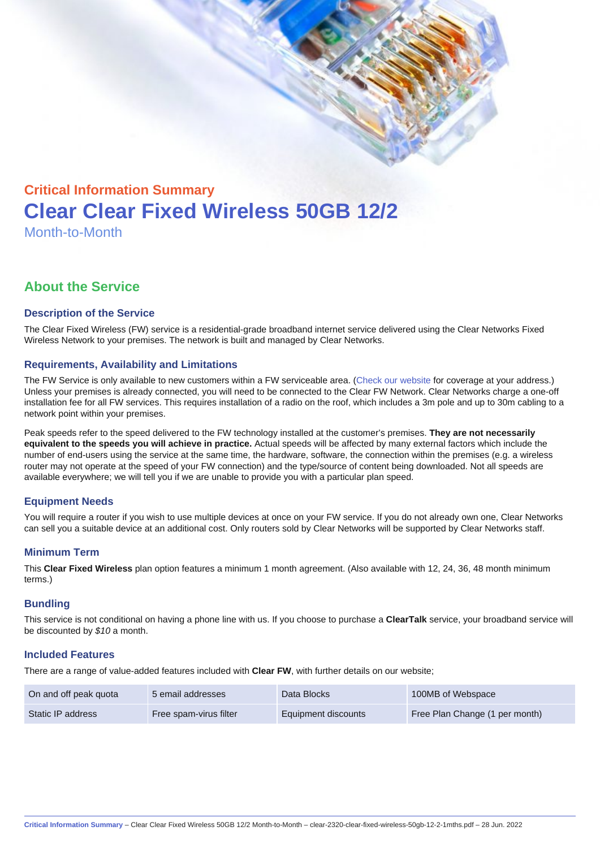# Critical Information Summary Clear Clear Fixed Wireless 50GB 12/2 Month-to-Month

# About the Service

## Description of the Service

The Clear Fixed Wireless (FW) service is a residential-grade broadband internet service delivered using the Clear Networks Fixed Wireless Network to your premises. The network is built and managed by Clear Networks.

## Requirements, Availability and Limitations

The FW Service is only available to new customers within a FW serviceable area. ([Check our website](https://www.clear.com.au/business/fixed-wireless/) for coverage at your address.) Unless your premises is already connected, you will need to be connected to the Clear FW Network. Clear Networks charge a one-off installation fee for all FW services. This requires installation of a radio on the roof, which includes a 3m pole and up to 30m cabling to a network point within your premises.

Peak speeds refer to the speed delivered to the FW technology installed at the customer's premises. They are not necessarily equivalent to the speeds you will achieve in practice. Actual speeds will be affected by many external factors which include the number of end-users using the service at the same time, the hardware, software, the connection within the premises (e.g. a wireless router may not operate at the speed of your FW connection) and the type/source of content being downloaded. Not all speeds are available everywhere; we will tell you if we are unable to provide you with a particular plan speed.

# Equipment Needs

You will require a router if you wish to use multiple devices at once on your FW service. If you do not already own one, Clear Networks can sell you a suitable device at an additional cost. Only routers sold by Clear Networks will be supported by Clear Networks staff.

#### Minimum Term

This Clear Fixed Wireless plan option features a minimum 1 month agreement. (Also available with 12, 24, 36, 48 month minimum terms.)

#### **Bundling**

This service is not conditional on having a phone line with us. If you choose to purchase a ClearTalk service, your broadband service will be discounted by \$10 a month.

#### Included Features

There are a range of value-added features included with Clear FW, with further details on our website;

| On and off peak quota | 5 email addresses      | Data Blocks         | 100MB of Webspace              |
|-----------------------|------------------------|---------------------|--------------------------------|
| Static IP address     | Free spam-virus filter | Equipment discounts | Free Plan Change (1 per month) |